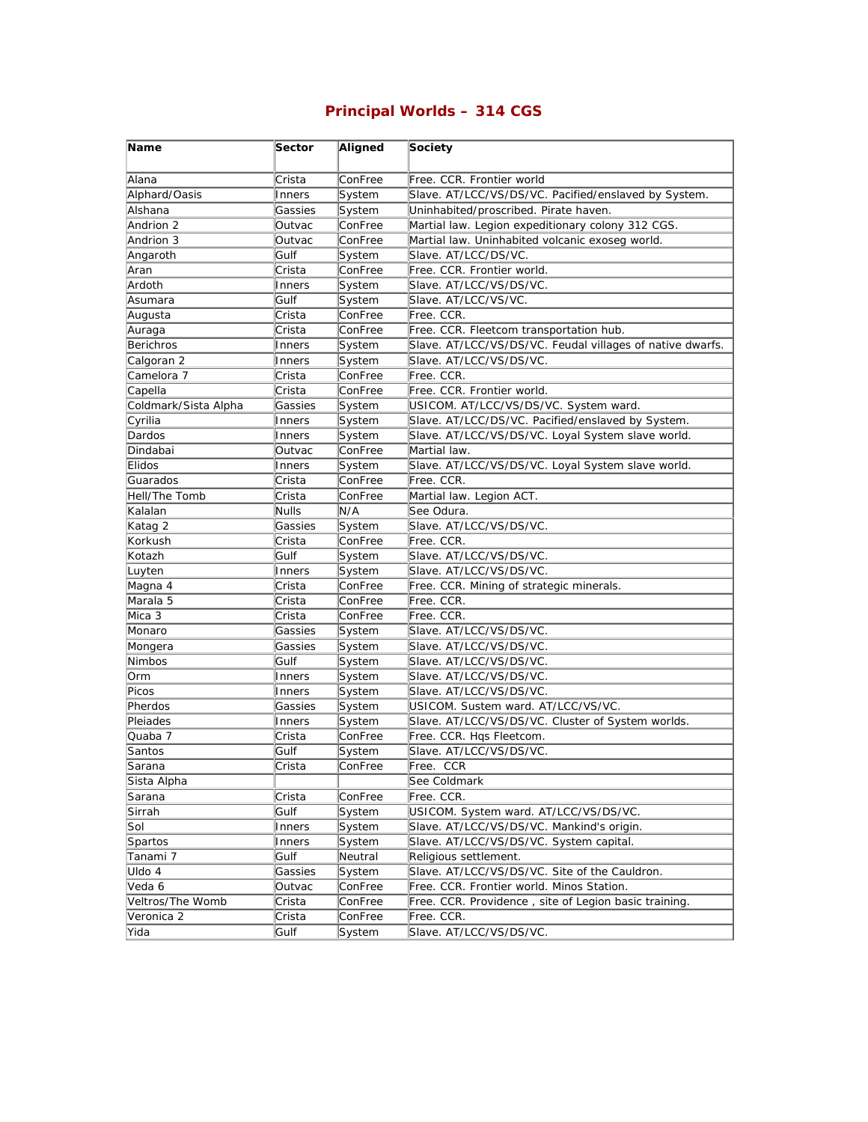## **Principal Worlds – 314 CGS**

| Name                 | Sector       | Aligned | Society                                                   |
|----------------------|--------------|---------|-----------------------------------------------------------|
| Alana                | Crista       | ConFree | Free. CCR. Frontier world                                 |
| Alphard/Oasis        | Inners       | System  | Slave. AT/LCC/VS/DS/VC. Pacified/enslaved by System.      |
| Alshana              | Gassies      | System  | Uninhabited/proscribed. Pirate haven.                     |
| Andrion 2            | Outvac       | ConFree | Martial law. Legion expeditionary colony 312 CGS.         |
| Andrion 3            | Outvac       | ConFree | Martial law. Uninhabited volcanic exoseg world.           |
| Angaroth             | Gulf         | System  | Slave. AT/LCC/DS/VC.                                      |
| Aran                 | Crista       | ConFree | Free. CCR. Frontier world.                                |
| Ardoth               | Inners       | System  | Slave. AT/LCC/VS/DS/VC.                                   |
| Asumara              | Gulf         | System  | Slave. AT/LCC/VS/VC.                                      |
| Augusta              | Crista       | ConFree | Free. CCR.                                                |
| Auraga               | Crista       | ConFree | Free. CCR. Fleetcom transportation hub.                   |
| <b>Berichros</b>     | Inners       | System  | Slave. AT/LCC/VS/DS/VC. Feudal villages of native dwarfs. |
| Calgoran 2           | Inners       | System  | Slave. AT/LCC/VS/DS/VC.                                   |
| Camelora 7           | Crista       | ConFree | Free. CCR.                                                |
| Capella              | Crista       | ConFree | Free. CCR. Frontier world.                                |
| Coldmark/Sista Alpha | Gassies      | System  | USICOM. AT/LCC/VS/DS/VC. System ward.                     |
| Cyrilia              | Inners       | System  | Slave. AT/LCC/DS/VC. Pacified/enslaved by System.         |
| Dardos               | Inners       | System  | Slave. AT/LCC/VS/DS/VC. Loyal System slave world.         |
| Dindabai             | Outvac       | ConFree | Martial law.                                              |
| Elidos               | Inners       | System  | Slave. AT/LCC/VS/DS/VC. Loyal System slave world.         |
| Guarados             | Crista       | ConFree | Free. CCR.                                                |
| Hell/The Tomb        | Crista       | ConFree | Martial law. Legion ACT.                                  |
| Kalalan              | <b>Nulls</b> | N/A     | See Odura.                                                |
| Katag 2              | Gassies      | System  | Slave. AT/LCC/VS/DS/VC.                                   |
| Korkush              | Crista       | ConFree | Free. CCR.                                                |
| Kotazh               | Gulf         | System  | Slave. AT/LCC/VS/DS/VC.                                   |
| Luyten               | Inners       | System  | Slave. AT/LCC/VS/DS/VC.                                   |
| Magna 4              | Crista       | ConFree | Free. CCR. Mining of strategic minerals.                  |
| Marala 5             | Crista       | ConFree | Free. CCR.                                                |
| Mica 3               | Crista       | ConFree | Free. CCR.                                                |
| Monaro               | Gassies      | System  | Slave. AT/LCC/VS/DS/VC.                                   |
| Mongera              | Gassies      | System  | Slave. AT/LCC/VS/DS/VC.                                   |
| Nimbos               | Gulf         | System  | Slave. AT/LCC/VS/DS/VC.                                   |
| Orm                  | Inners       | System  | Slave. AT/LCC/VS/DS/VC.                                   |
| Picos                | Inners       | System  | Slave. AT/LCC/VS/DS/VC.                                   |
| Pherdos              | Gassies      | System  | USICOM. Sustem ward. AT/LCC/VS/VC.                        |
| Pleiades             | Inners       | System  | Slave. AT/LCC/VS/DS/VC. Cluster of System worlds.         |
| Quaba 7              | Crista       | ConFree | Free. CCR. Hqs Fleetcom.                                  |
| Santos               | Gulf         | System  | Slave. AT/LCC/VS/DS/VC.                                   |
| Sarana               | Crista       | ConFree | Free. CCR                                                 |
| Sista Alpha          |              |         | See Coldmark                                              |
| Sarana               | Crista       | ConFree | Free. CCR.                                                |
| Sirrah               | Gulf         | System  | USICOM. System ward. AT/LCC/VS/DS/VC.                     |
| Sol                  | Inners       | System  | Slave. AT/LCC/VS/DS/VC. Mankind's origin.                 |
| Spartos              | Inners       | System  | Slave. AT/LCC/VS/DS/VC. System capital.                   |
| Tanami 7             | Gulf         | Neutral | Religious settlement.                                     |
| Uldo 4               | Gassies      | System  | Slave. AT/LCC/VS/DS/VC. Site of the Cauldron.             |
| Veda 6               | Outvac       | ConFree | Free. CCR. Frontier world. Minos Station.                 |
| Veltros/The Womb     | Crista       | ConFree | Free. CCR. Providence, site of Legion basic training.     |
| Veronica 2           | Crista       | ConFree | Free. CCR.                                                |
| Yida                 | Gulf         | System  | Slave. AT/LCC/VS/DS/VC.                                   |